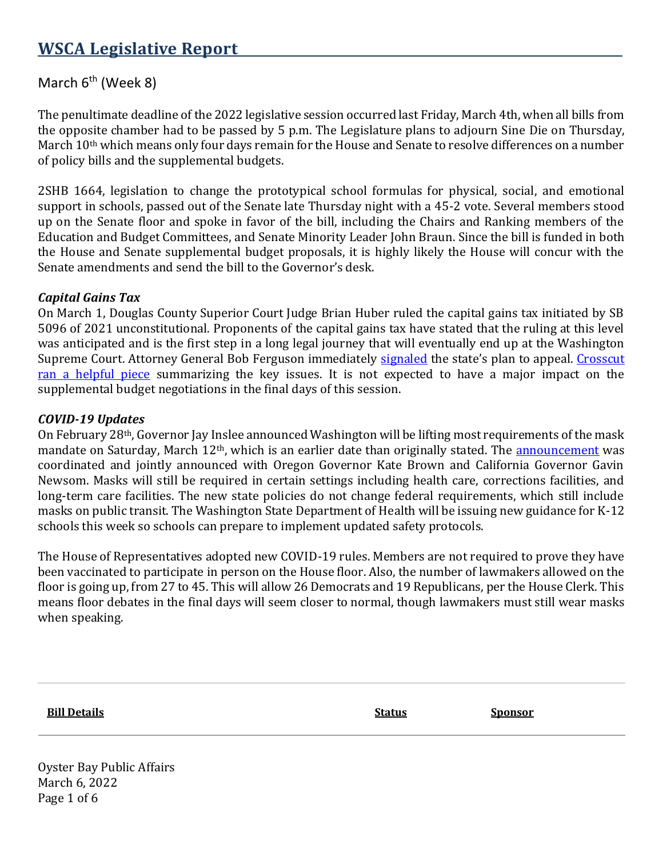## **WSCA Legislative Report**

## March  $6<sup>th</sup>$  (Week 8)

The penultimate deadline of the 2022 legislative session occurred last Friday, March 4th, when all bills from the opposite chamber had to be passed by 5 p.m. The Legislature plans to adjourn Sine Die on Thursday, March 10<sup>th</sup> which means only four days remain for the House and Senate to resolve differences on a number of policy bills and the supplemental budgets.

2SHB 1664, legislation to change the prototypical school formulas for physical, social, and emotional support in schools, passed out of the Senate late Thursday night with a 45-2 vote. Several members stood up on the Senate floor and spoke in favor of the bill, including the Chairs and Ranking members of the Education and Budget Committees, and Senate Minority Leader John Braun. Since the bill is funded in both the House and Senate supplemental budget proposals, it is highly likely the House will concur with the Senate amendments and send the bill to the Governor's desk.

## *Capital Gains Tax*

On March 1, Douglas County Superior Court Judge Brian Huber ruled the capital gains tax initiated by SB 5096 of 2021 unconstitutional. Proponents of the capital gains tax have stated that the ruling at this level was anticipated and is the first step in a long legal journey that will eventually end up at the Washington Supreme Court. Attorney General Bob Ferguson immediately [signaled](https://www.atg.wa.gov/news/news-releases/ag-ferguson-s-statement-after-ruling-capital-gains-tax) the state's plan to appeal. Crosscut [ran a helpful piece](https://crosscut.com/politics/2022/03/wa-capital-gains-tax-ruled-unconstitutional-trial-judge) summarizing the key issues. It is not expected to have a major impact on the supplemental budget negotiations in the final days of this session.

## *COVID-19 Updates*

On February 28th, Governor Jay Inslee announced Washington will be lifting most requirements of the mask mandate on Saturday, March 12<sup>th</sup>, which is an earlier date than originally stated. The [announcement](https://www.governor.wa.gov/news-media/governors-newsom-brown-and-inslee-announce-updated-health-guidance) was coordinated and jointly announced with Oregon Governor Kate Brown and California Governor Gavin Newsom. Masks will still be required in certain settings including health care, corrections facilities, and long-term care facilities. The new state policies do not change federal requirements, which still include masks on public transit. The Washington State Department of Health will be issuing new guidance for K-12 schools this week so schools can prepare to implement updated safety protocols.

The House of Representatives adopted new COVID-19 rules. Members are not required to prove they have been vaccinated to participate in person on the House floor. Also, the number of lawmakers allowed on the floor is going up, from 27 to 45. This will allow 26 Democrats and 19 Republicans, per the House Clerk. This means floor debates in the final days will seem closer to normal, though lawmakers must still wear masks when speaking.

| <b>Bill Details</b> | <b>Status</b> | <b>Sponsor</b> |
|---------------------|---------------|----------------|
|                     |               |                |

Oyster Bay Public Affairs March 6, 2022 Page 1 of 6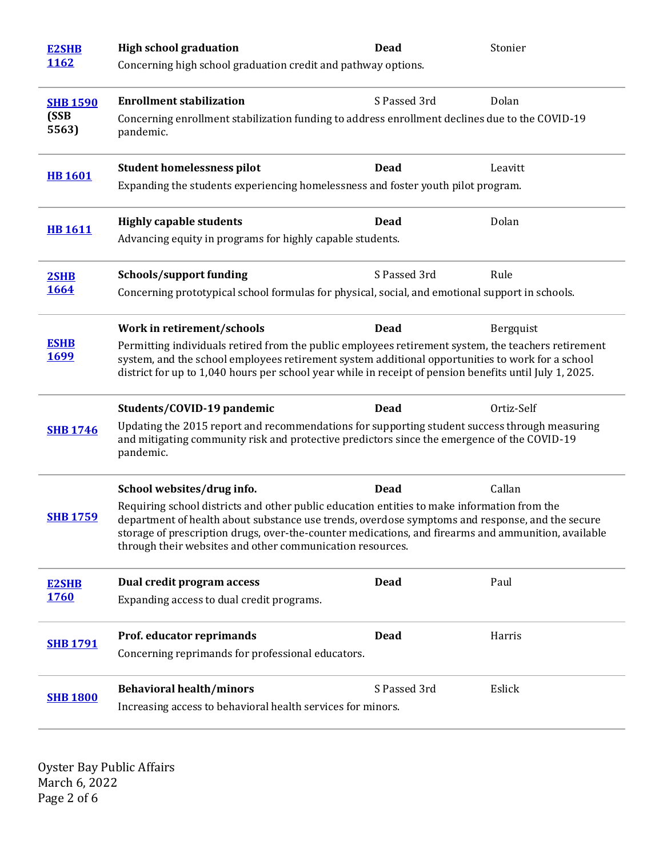| <b>E2SHB</b>                                                                                                                 | <b>High school graduation</b>                                                                                                                                                                                                                                                                                                                                      | <b>Dead</b>  | Stonier    |  |
|------------------------------------------------------------------------------------------------------------------------------|--------------------------------------------------------------------------------------------------------------------------------------------------------------------------------------------------------------------------------------------------------------------------------------------------------------------------------------------------------------------|--------------|------------|--|
| <u>1162</u>                                                                                                                  | Concerning high school graduation credit and pathway options.                                                                                                                                                                                                                                                                                                      |              |            |  |
| <b>SHB 1590</b>                                                                                                              | <b>Enrollment stabilization</b>                                                                                                                                                                                                                                                                                                                                    | S Passed 3rd | Dolan      |  |
| (SSB<br>Concerning enrollment stabilization funding to address enrollment declines due to the COVID-19<br>5563)<br>pandemic. |                                                                                                                                                                                                                                                                                                                                                                    |              |            |  |
| <b>HB1601</b>                                                                                                                | <b>Student homelessness pilot</b>                                                                                                                                                                                                                                                                                                                                  | <b>Dead</b>  | Leavitt    |  |
|                                                                                                                              | Expanding the students experiencing homelessness and foster youth pilot program.                                                                                                                                                                                                                                                                                   |              |            |  |
|                                                                                                                              | <b>Highly capable students</b>                                                                                                                                                                                                                                                                                                                                     | <b>Dead</b>  | Dolan      |  |
| <b>HB1611</b>                                                                                                                | Advancing equity in programs for highly capable students.                                                                                                                                                                                                                                                                                                          |              |            |  |
| 2SHB                                                                                                                         | <b>Schools/support funding</b>                                                                                                                                                                                                                                                                                                                                     | S Passed 3rd | Rule       |  |
| <b>1664</b>                                                                                                                  | Concerning prototypical school formulas for physical, social, and emotional support in schools.                                                                                                                                                                                                                                                                    |              |            |  |
|                                                                                                                              | Work in retirement/schools                                                                                                                                                                                                                                                                                                                                         | <b>Dead</b>  | Bergquist  |  |
| <b>ESHB</b><br><u>1699</u>                                                                                                   | Permitting individuals retired from the public employees retirement system, the teachers retirement<br>system, and the school employees retirement system additional opportunities to work for a school<br>district for up to 1,040 hours per school year while in receipt of pension benefits until July 1, 2025.                                                 |              |            |  |
|                                                                                                                              | Students/COVID-19 pandemic                                                                                                                                                                                                                                                                                                                                         | Dead         | Ortiz-Self |  |
| <b>SHB 1746</b>                                                                                                              | Updating the 2015 report and recommendations for supporting student success through measuring<br>and mitigating community risk and protective predictors since the emergence of the COVID-19<br>pandemic.                                                                                                                                                          |              |            |  |
|                                                                                                                              | School websites/drug info.                                                                                                                                                                                                                                                                                                                                         | <b>Dead</b>  | Callan     |  |
| <b>SHB 1759</b>                                                                                                              | Requiring school districts and other public education entities to make information from the<br>department of health about substance use trends, overdose symptoms and response, and the secure<br>storage of prescription drugs, over-the-counter medications, and firearms and ammunition, available<br>through their websites and other communication resources. |              |            |  |
| <b>E2SHB</b>                                                                                                                 | Dual credit program access                                                                                                                                                                                                                                                                                                                                         | <b>Dead</b>  | Paul       |  |
| <b>1760</b>                                                                                                                  | Expanding access to dual credit programs.                                                                                                                                                                                                                                                                                                                          |              |            |  |
| <b>SHB 1791</b>                                                                                                              | Prof. educator reprimands                                                                                                                                                                                                                                                                                                                                          | <b>Dead</b>  | Harris     |  |
|                                                                                                                              | Concerning reprimands for professional educators.                                                                                                                                                                                                                                                                                                                  |              |            |  |
|                                                                                                                              | <b>Behavioral health/minors</b>                                                                                                                                                                                                                                                                                                                                    | S Passed 3rd | Eslick     |  |
| <b>SHB 1800</b>                                                                                                              | Increasing access to behavioral health services for minors.                                                                                                                                                                                                                                                                                                        |              |            |  |

Oyster Bay Public Affairs March 6, 2022 Page 2 of 6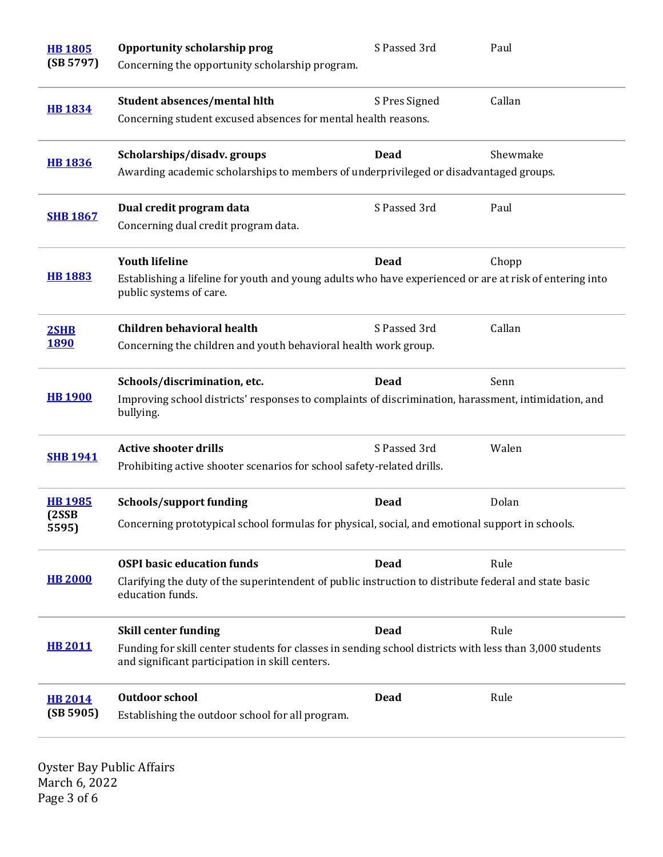| <b>HB1805</b><br>(SB 5797)  | Opportunity scholarship prog<br>Concerning the opportunity scholarship program.                                                                                   | S Passed 3rd  | Paul     |  |
|-----------------------------|-------------------------------------------------------------------------------------------------------------------------------------------------------------------|---------------|----------|--|
| <b>HB 1834</b>              | Student absences/mental hlth<br>Concerning student excused absences for mental health reasons.                                                                    | S Pres Signed | Callan   |  |
| <b>HB1836</b>               | Scholarships/disadv.groups<br>Awarding academic scholarships to members of underprivileged or disadvantaged groups.                                               | Dead          | Shewmake |  |
| <b>SHB 1867</b>             | Dual credit program data<br>Concerning dual credit program data.                                                                                                  | S Passed 3rd  | Paul     |  |
| <b>HB 1883</b>              | <b>Youth lifeline</b><br>Establishing a lifeline for youth and young adults who have experienced or are at risk of entering into<br>public systems of care.       | <b>Dead</b>   | Chopp    |  |
| 2SHB<br><b>1890</b>         | <b>Children behavioral health</b><br>Concerning the children and youth behavioral health work group.                                                              | S Passed 3rd  | Callan   |  |
| <b>HB 1900</b>              | Schools/discrimination, etc.<br>Dead<br>Senn<br>Improving school districts' responses to complaints of discrimination, harassment, intimidation, and<br>bullying. |               |          |  |
| <b>SHB 1941</b>             | <b>Active shooter drills</b><br>Prohibiting active shooter scenarios for school safety-related drills.                                                            | S Passed 3rd  | Walen    |  |
| <b>HB1985</b>               | Schools/support funding                                                                                                                                           | Dead          | Dolan    |  |
| (2SSB)<br>5595)             | Concerning prototypical school formulas for physical, social, and emotional support in schools.                                                                   |               |          |  |
|                             | <b>OSPI</b> basic education funds                                                                                                                                 | <b>Dead</b>   | Rule     |  |
| <b>HB 2000</b>              | Clarifying the duty of the superintendent of public instruction to distribute federal and state basic<br>education funds.                                         |               |          |  |
| <b>HB 2011</b>              | <b>Skill center funding</b>                                                                                                                                       | Dead          | Rule     |  |
|                             | Funding for skill center students for classes in sending school districts with less than 3,000 students<br>and significant participation in skill centers.        |               |          |  |
| <b>HB 2014</b><br>(SB 5905) | <b>Outdoor school</b><br>Establishing the outdoor school for all program.                                                                                         | Dead          | Rule     |  |

Oyster Bay Public Affairs March 6, 2022 Page 3 of 6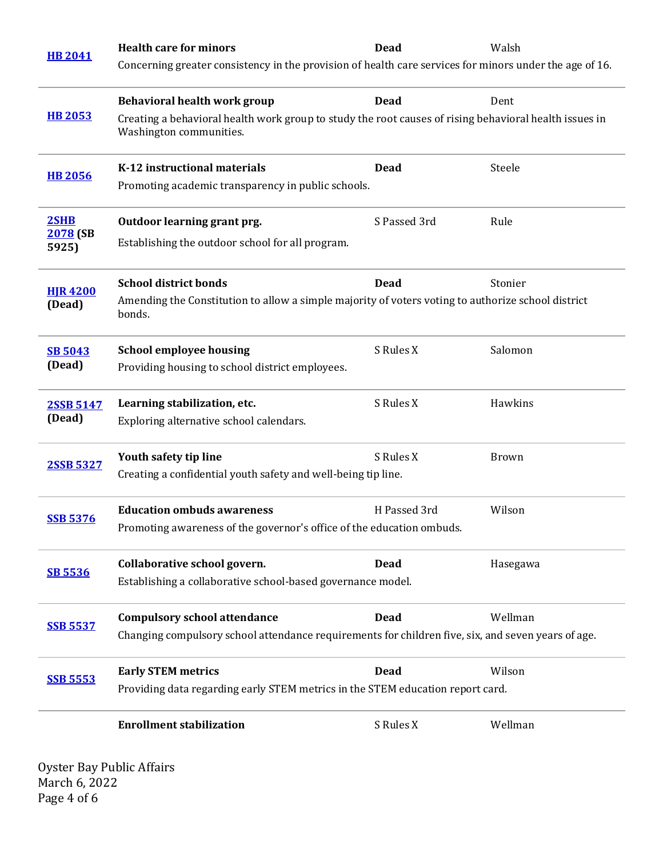| <b>HB 2041</b>    | <b>Health care for minors</b>                                                                                                     | Dead         | Walsh        |  |
|-------------------|-----------------------------------------------------------------------------------------------------------------------------------|--------------|--------------|--|
|                   | Concerning greater consistency in the provision of health care services for minors under the age of 16.                           |              |              |  |
|                   | Behavioral health work group                                                                                                      | <b>Dead</b>  | Dent         |  |
| <b>HB 2053</b>    | Creating a behavioral health work group to study the root causes of rising behavioral health issues in<br>Washington communities. |              |              |  |
| <b>HB 2056</b>    | K-12 instructional materials                                                                                                      | Dead         | Steele       |  |
|                   | Promoting academic transparency in public schools.                                                                                |              |              |  |
| 2SHB              | Outdoor learning grant prg.                                                                                                       | S Passed 3rd | Rule         |  |
| 2078 (SB<br>5925) | Establishing the outdoor school for all program.                                                                                  |              |              |  |
| <b>HIR4200</b>    | <b>School district bonds</b>                                                                                                      | <b>Dead</b>  | Stonier      |  |
| (Dead)            | Amending the Constitution to allow a simple majority of voters voting to authorize school district<br>bonds.                      |              |              |  |
| <b>SB 5043</b>    | <b>School employee housing</b>                                                                                                    | S Rules X    | Salomon      |  |
| (Dead)            | Providing housing to school district employees.                                                                                   |              |              |  |
| <b>2SSB 5147</b>  | Learning stabilization, etc.                                                                                                      | S Rules X    | Hawkins      |  |
| (Dead)            | Exploring alternative school calendars.                                                                                           |              |              |  |
|                   | Youth safety tip line                                                                                                             | S Rules X    | <b>Brown</b> |  |
| 2SSB 5327         | Creating a confidential youth safety and well-being tip line.                                                                     |              |              |  |
|                   | <b>Education ombuds awareness</b>                                                                                                 | H Passed 3rd | Wilson       |  |
| <b>SSB 5376</b>   | Promoting awareness of the governor's office of the education ombuds.                                                             |              |              |  |
|                   | Collaborative school govern.                                                                                                      | Dead         | Hasegawa     |  |
| <b>SB 5536</b>    | Establishing a collaborative school-based governance model.                                                                       |              |              |  |
| <b>SSB 5537</b>   | <b>Compulsory school attendance</b>                                                                                               | <b>Dead</b>  | Wellman      |  |
|                   | Changing compulsory school attendance requirements for children five, six, and seven years of age.                                |              |              |  |
|                   | <b>Early STEM metrics</b>                                                                                                         | <b>Dead</b>  | Wilson       |  |
| <b>SSB 5553</b>   | Providing data regarding early STEM metrics in the STEM education report card.                                                    |              |              |  |
|                   | <b>Enrollment stabilization</b>                                                                                                   | S Rules X    | Wellman      |  |
|                   |                                                                                                                                   |              |              |  |

Oyster Bay Public Affairs March 6, 2022 Page 4 of 6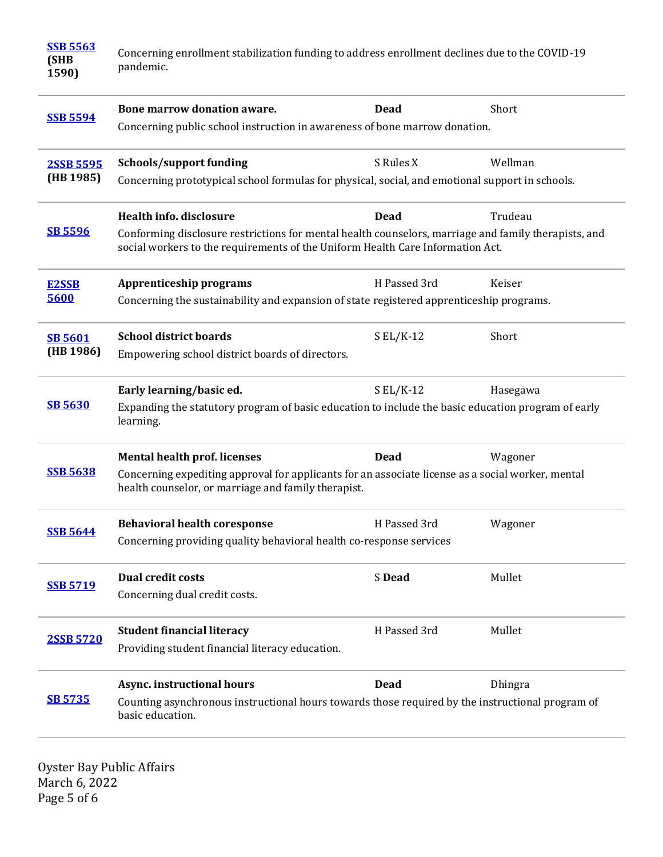| <b>SSB 5563</b><br>(SHB<br>1590) | Concerning enrollment stabilization funding to address enrollment declines due to the COVID-19<br>pandemic.                                                                            |              |          |
|----------------------------------|----------------------------------------------------------------------------------------------------------------------------------------------------------------------------------------|--------------|----------|
| <b>SSB 5594</b>                  | Bone marrow donation aware.                                                                                                                                                            | Dead         | Short    |
|                                  | Concerning public school instruction in awareness of bone marrow donation.                                                                                                             |              |          |
| 2SSB 5595<br>(HB 1985)           | <b>Schools/support funding</b>                                                                                                                                                         | S Rules X    | Wellman  |
|                                  | Concerning prototypical school formulas for physical, social, and emotional support in schools.                                                                                        |              |          |
| <b>SB 5596</b>                   | <b>Health info. disclosure</b>                                                                                                                                                         | <b>Dead</b>  | Trudeau  |
|                                  | Conforming disclosure restrictions for mental health counselors, marriage and family therapists, and<br>social workers to the requirements of the Uniform Health Care Information Act. |              |          |
| <b>E2SSB</b>                     | <b>Apprenticeship programs</b>                                                                                                                                                         | H Passed 3rd | Keiser   |
| 5600                             | Concerning the sustainability and expansion of state registered apprenticeship programs.                                                                                               |              |          |
| <b>SB 5601</b>                   | <b>School district boards</b>                                                                                                                                                          | $SL/K-12$    | Short    |
| (HB 1986)                        | Empowering school district boards of directors.                                                                                                                                        |              |          |
| <b>SB 5630</b>                   | Early learning/basic ed.                                                                                                                                                               | $SL/K-12$    | Hasegawa |
|                                  | Expanding the statutory program of basic education to include the basic education program of early<br>learning.                                                                        |              |          |
|                                  | <b>Mental health prof. licenses</b>                                                                                                                                                    | <b>Dead</b>  | Wagoner  |
| <b>SSB 5638</b>                  | Concerning expediting approval for applicants for an associate license as a social worker, mental<br>health counselor, or marriage and family therapist.                               |              |          |
|                                  | <b>Behavioral health coresponse</b>                                                                                                                                                    | H Passed 3rd | Wagoner  |
| <b>SSB 5644</b>                  | Concerning providing quality behavioral health co-response services                                                                                                                    |              |          |
| <b>SSB 5719</b>                  | <b>Dual credit costs</b>                                                                                                                                                               | S Dead       | Mullet   |
|                                  | Concerning dual credit costs.                                                                                                                                                          |              |          |
| 2SSB 5720                        | <b>Student financial literacy</b>                                                                                                                                                      | H Passed 3rd | Mullet   |
|                                  | Providing student financial literacy education.                                                                                                                                        |              |          |
|                                  | <b>Async. instructional hours</b>                                                                                                                                                      | <b>Dead</b>  | Dhingra  |
| <b>SB 5735</b>                   | Counting asynchronous instructional hours towards those required by the instructional program of<br>basic education.                                                                   |              |          |

Oyster Bay Public Affairs March 6, 2022 Page 5 of 6